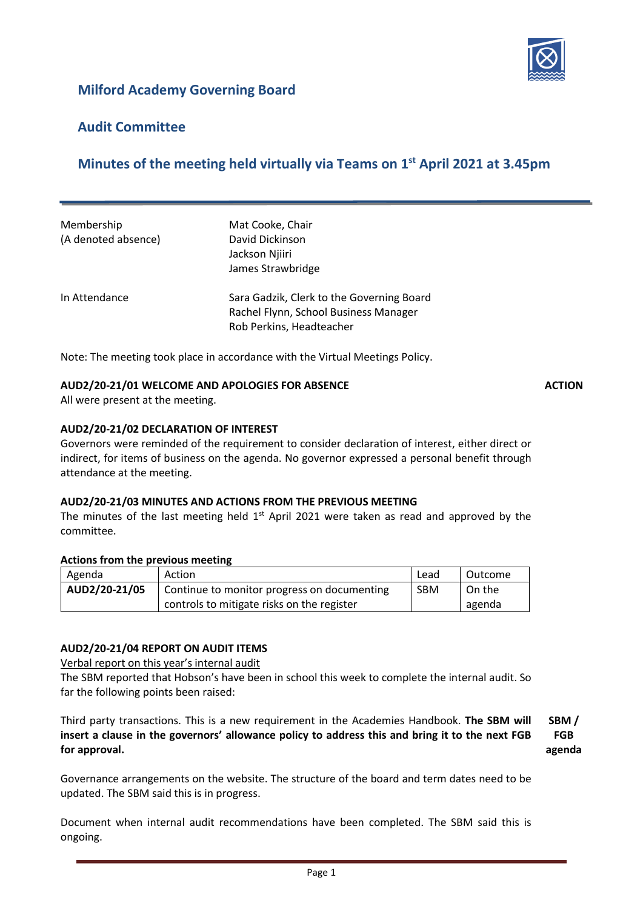

# **Milford Academy Governing Board**

## **Audit Committee**

# **Minutes of the meeting held virtually via Teams on 1 st April 2021 at 3.45pm**

| Membership          | Mat Cooke, Chair                          |  |
|---------------------|-------------------------------------------|--|
| (A denoted absence) | David Dickinson                           |  |
|                     | Jackson Njiiri                            |  |
|                     | James Strawbridge                         |  |
| In Attendance       | Sara Gadzik, Clerk to the Governing Board |  |
|                     | Rachel Flynn, School Business Manager     |  |
|                     | Rob Perkins, Headteacher                  |  |

Note: The meeting took place in accordance with the Virtual Meetings Policy.

#### **AUD2/20-21/01 WELCOME AND APOLOGIES FOR ABSENCE ACTION**

All were present at the meeting.

#### **AUD2/20-21/02 DECLARATION OF INTEREST**

Governors were reminded of the requirement to consider declaration of interest, either direct or indirect, for items of business on the agenda. No governor expressed a personal benefit through attendance at the meeting.

#### **AUD2/20-21/03 MINUTES AND ACTIONS FROM THE PREVIOUS MEETING**

The minutes of the last meeting held  $1<sup>st</sup>$  April 2021 were taken as read and approved by the committee.

#### **Actions from the previous meeting**

| Agenda        | Action                                      | Lead       | Outcome |
|---------------|---------------------------------------------|------------|---------|
| AUD2/20-21/05 | Continue to monitor progress on documenting | <b>SBM</b> | On the  |
|               | controls to mitigate risks on the register  |            | agenda  |

#### **AUD2/20-21/04 REPORT ON AUDIT ITEMS**

Verbal report on this year's internal audit

The SBM reported that Hobson's have been in school this week to complete the internal audit. So far the following points been raised:

Third party transactions. This is a new requirement in the Academies Handbook. **The SBM will insert a clause in the governors' allowance policy to address this and bring it to the next FGB for approval. SBM / FGB agenda**

Governance arrangements on the website. The structure of the board and term dates need to be updated. The SBM said this is in progress.

Document when internal audit recommendations have been completed. The SBM said this is ongoing.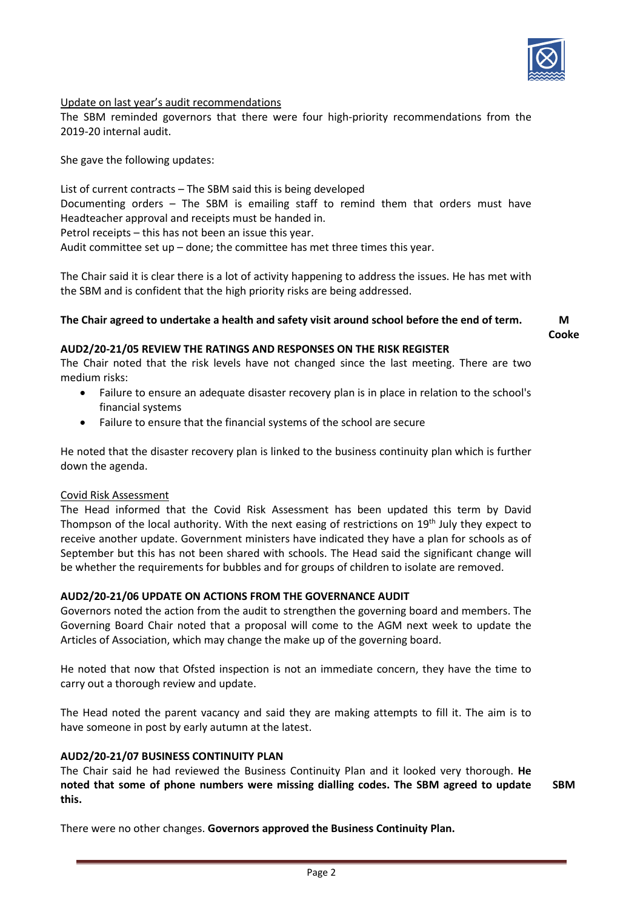

#### Update on last year's audit recommendations

The SBM reminded governors that there were four high-priority recommendations from the 2019-20 internal audit.

She gave the following updates:

List of current contracts – The SBM said this is being developed Documenting orders – The SBM is emailing staff to remind them that orders must have Headteacher approval and receipts must be handed in. Petrol receipts – this has not been an issue this year. Audit committee set up – done; the committee has met three times this year.

The Chair said it is clear there is a lot of activity happening to address the issues. He has met with the SBM and is confident that the high priority risks are being addressed.

#### **The Chair agreed to undertake a health and safety visit around school before the end of term. M**

**Cooke**

#### **AUD2/20-21/05 REVIEW THE RATINGS AND RESPONSES ON THE RISK REGISTER**

The Chair noted that the risk levels have not changed since the last meeting. There are two medium risks:

- Failure to ensure an adequate disaster recovery plan is in place in relation to the school's financial systems
- Failure to ensure that the financial systems of the school are secure

He noted that the disaster recovery plan is linked to the business continuity plan which is further down the agenda.

#### Covid Risk Assessment

The Head informed that the Covid Risk Assessment has been updated this term by David Thompson of the local authority. With the next easing of restrictions on 19<sup>th</sup> July they expect to receive another update. Government ministers have indicated they have a plan for schools as of September but this has not been shared with schools. The Head said the significant change will be whether the requirements for bubbles and for groups of children to isolate are removed.

#### **AUD2/20-21/06 UPDATE ON ACTIONS FROM THE GOVERNANCE AUDIT**

Governors noted the action from the audit to strengthen the governing board and members. The Governing Board Chair noted that a proposal will come to the AGM next week to update the Articles of Association, which may change the make up of the governing board.

He noted that now that Ofsted inspection is not an immediate concern, they have the time to carry out a thorough review and update.

The Head noted the parent vacancy and said they are making attempts to fill it. The aim is to have someone in post by early autumn at the latest.

#### **AUD2/20-21/07 BUSINESS CONTINUITY PLAN**

The Chair said he had reviewed the Business Continuity Plan and it looked very thorough. **He noted that some of phone numbers were missing dialling codes. The SBM agreed to update this. SBM**

There were no other changes. **Governors approved the Business Continuity Plan.**